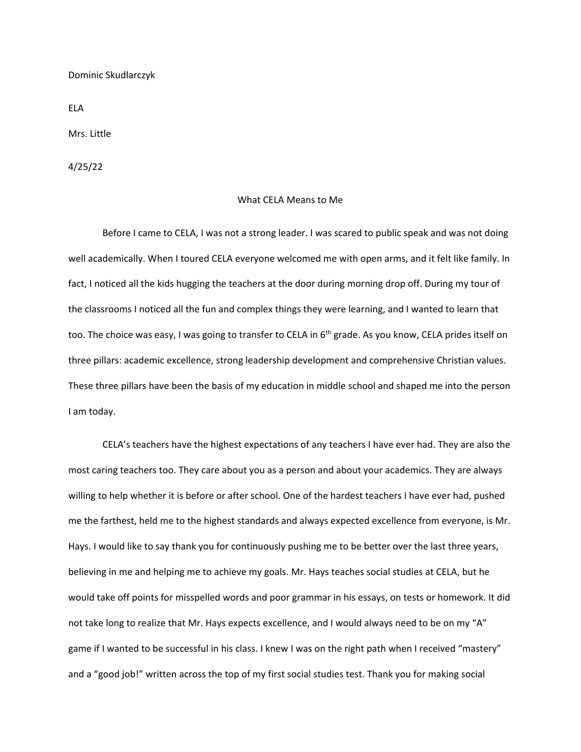Dominic Skudlarczyk

ELA

Mrs. Little

4/25/22

## What CELA Means to Me

Before I came to CELA, I was not a strong leader. I was scared to public speak and was not doing well academically. When I toured CELA everyone welcomed me with open arms, and it felt like family. In fact, I noticed all the kids hugging the teachers at the door during morning drop off. During my tour of the classrooms I noticed all the fun and complex things they were learning, and I wanted to learn that too. The choice was easy, I was going to transfer to CELA in 6<sup>th</sup> grade. As you know, CELA prides itself on three pillars: academic excellence, strong leadership development and comprehensive Christian values. These three pillars have been the basis of my education in middle school and shaped me into the person I am today.

CELA's teachers have the highest expectations of any teachers I have ever had. They are also the most caring teachers too. They care about you as a person and about your academics. They are always willing to help whether it is before or after school. One of the hardest teachers I have ever had, pushed me the farthest, held me to the highest standards and always expected excellence from everyone, is Mr. Hays. I would like to say thank you for continuously pushing me to be better over the last three years, believing in me and helping me to achieve my goals. Mr. Hays teaches social studies at CELA, but he would take off points for misspelled words and poor grammar in his essays, on tests or homework. It did not take long to realize that Mr. Hays expects excellence, and I would always need to be on my "A" game if I wanted to be successful in his class. I knew I was on the right path when I received "mastery" and a "good job!" written across the top of my first social studies test. Thank you for making social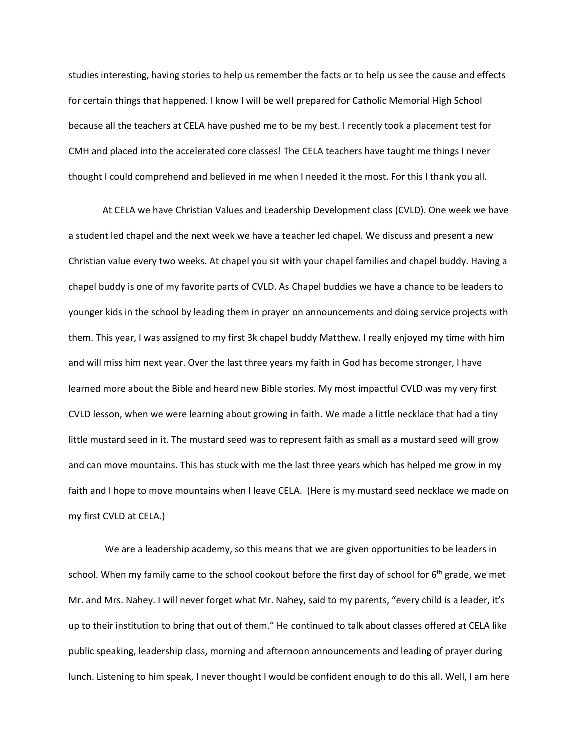studies interesting, having stories to help us remember the facts or to help us see the cause and effects for certain things that happened. I know I will be well prepared for Catholic Memorial High School because all the teachers at CELA have pushed me to be my best. I recently took a placement test for CMH and placed into the accelerated core classes! The CELA teachers have taught me things I never thought I could comprehend and believed in me when I needed it the most. For this I thank you all.

At CELA we have Christian Values and Leadership Development class (CVLD). One week we have a student led chapel and the next week we have a teacher led chapel. We discuss and present a new Christian value every two weeks. At chapel you sit with your chapel families and chapel buddy. Having a chapel buddy is one of my favorite parts of CVLD. As Chapel buddies we have a chance to be leaders to younger kids in the school by leading them in prayer on announcements and doing service projects with them. This year, I was assigned to my first 3k chapel buddy Matthew. I really enjoyed my time with him and will miss him next year. Over the last three years my faith in God has become stronger, I have learned more about the Bible and heard new Bible stories. My most impactful CVLD was my very first CVLD lesson, when we were learning about growing in faith. We made a little necklace that had a tiny little mustard seed in it. The mustard seed was to represent faith as small as a mustard seed will grow and can move mountains. This has stuck with me the last three years which has helped me grow in my faith and I hope to move mountains when I leave CELA. (Here is my mustard seed necklace we made on my first CVLD at CELA.)

We are a leadership academy, so this means that we are given opportunities to be leaders in school. When my family came to the school cookout before the first day of school for 6<sup>th</sup> grade, we met Mr. and Mrs. Nahey. I will never forget what Mr. Nahey, said to my parents, "every child is a leader, it's up to their institution to bring that out of them." He continued to talk about classes offered at CELA like public speaking, leadership class, morning and afternoon announcements and leading of prayer during lunch. Listening to him speak, I never thought I would be confident enough to do this all. Well, I am here